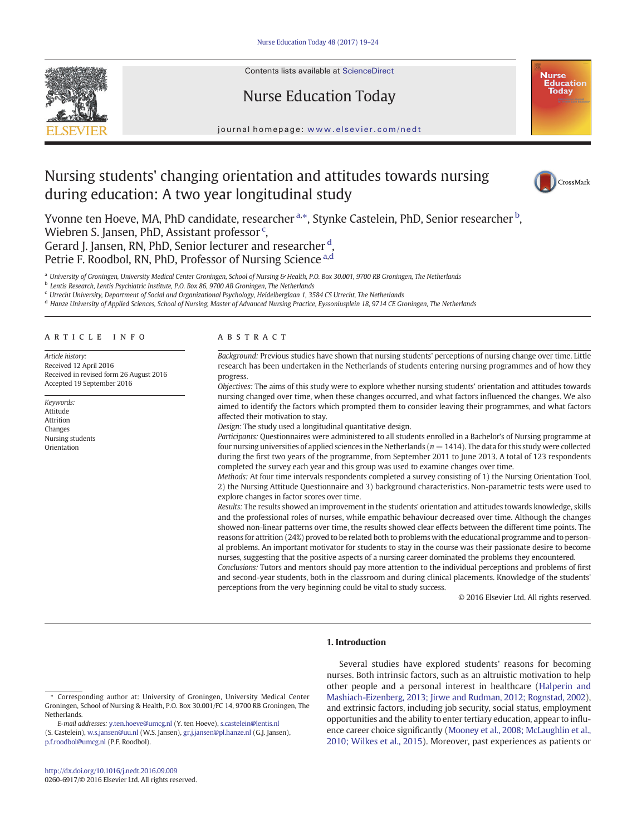

Contents lists available at [ScienceDirect](http://www.sciencedirect.com/science/journal/02606917)

# Nurse Education Today



journal homepage: <www.elsevier.com/nedt>

# Nursing students' changing orientation and attitudes towards nursing during education: A two year longitudinal study



Yvonne ten Hoeve, MA, PhD candidate, researcher <sup>a,</sup>\*, Stynke Castelein, PhD, Senior researcher <sup>b</sup>, Wiebren S. Jansen, PhD, Assistant professor<sup>c</sup>, Gerard J. Jansen, RN, PhD, Senior lecturer and researcher<sup>d</sup>,

Petrie F. Roodbol, RN, PhD, Professor of Nursing Science a,d

a University of Groningen, University Medical Center Groningen, School of Nursing & Health, P.O. Box 30.001, 9700 RB Groningen, The Netherlands

<sup>b</sup> Lentis Research, Lentis Psychiatric Institute, P.O. Box 86, 9700 AB Groningen, The Netherlands

<sup>c</sup> Utrecht University, Department of Social and Organizational Psychology, Heidelberglaan 1, 3584 CS Utrecht, The Netherlands

<sup>d</sup> Hanze University of Applied Sciences, School of Nursing, Master of Advanced Nursing Practice, Eyssoniusplein 18, 9714 CE Groningen, The Netherlands

# article info abstract

Article history: Received 12 April 2016 Received in revised form 26 August 2016 Accepted 19 September 2016

Keywords: Attitude Attrition Changes Nursing students Orientation

Background: Previous studies have shown that nursing students' perceptions of nursing change over time. Little research has been undertaken in the Netherlands of students entering nursing programmes and of how they progress.

Objectives: The aims of this study were to explore whether nursing students' orientation and attitudes towards nursing changed over time, when these changes occurred, and what factors influenced the changes. We also aimed to identify the factors which prompted them to consider leaving their programmes, and what factors affected their motivation to stay.

Design: The study used a longitudinal quantitative design.

Participants: Questionnaires were administered to all students enrolled in a Bachelor's of Nursing programme at four nursing universities of applied sciences in the Netherlands ( $n = 1414$ ). The data for this study were collected during the first two years of the programme, from September 2011 to June 2013. A total of 123 respondents completed the survey each year and this group was used to examine changes over time.

Methods: At four time intervals respondents completed a survey consisting of 1) the Nursing Orientation Tool, 2) the Nursing Attitude Questionnaire and 3) background characteristics. Non-parametric tests were used to explore changes in factor scores over time.

Results: The results showed an improvement in the students' orientation and attitudes towards knowledge, skills and the professional roles of nurses, while empathic behaviour decreased over time. Although the changes showed non-linear patterns over time, the results showed clear effects between the different time points. The reasons for attrition (24%) proved to be related both to problems with the educational programme and to personal problems. An important motivator for students to stay in the course was their passionate desire to become nurses, suggesting that the positive aspects of a nursing career dominated the problems they encountered.

Conclusions: Tutors and mentors should pay more attention to the individual perceptions and problems of first and second-year students, both in the classroom and during clinical placements. Knowledge of the students' perceptions from the very beginning could be vital to study success.

© 2016 Elsevier Ltd. All rights reserved.

# 1. Introduction

Several studies have explored students' reasons for becoming nurses. Both intrinsic factors, such as an altruistic motivation to help other people and a personal interest in healthcare [\(Halperin and](#page-5-0) [Mashiach-Eizenberg, 2013; Jirwe and Rudman, 2012; Rognstad, 2002](#page-5-0)), and extrinsic factors, including job security, social status, employment opportunities and the ability to enter tertiary education, appear to influence career choice significantly ([Mooney et al., 2008; McLaughlin et al.,](#page-5-0) [2010; Wilkes et al., 2015](#page-5-0)). Moreover, past experiences as patients or

<sup>⁎</sup> Corresponding author at: University of Groningen, University Medical Center Groningen, School of Nursing & Health, P.O. Box 30.001/FC 14, 9700 RB Groningen, The Netherlands.

E-mail addresses: y.ten.hoeve@umcg.nl (Y. ten Hoeve), s.castelein@lentis.nl (S. Castelein), w.s.jansen@uu.nl (W.S. Jansen), gr.j.jansen@pl.hanze.nl (G.J. Jansen),

[p.f.roodbol@umcg.nl](mailto:p.f.roodbol@umcg.nl) (P.F. Roodbol).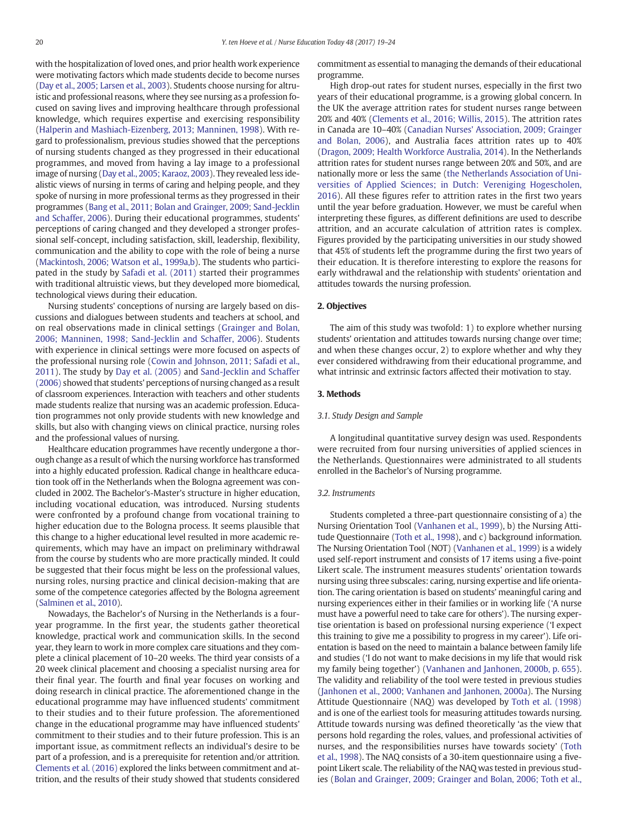with the hospitalization of loved ones, and prior health work experience were motivating factors which made students decide to become nurses [\(Day et al., 2005; Larsen et al., 2003](#page-5-0)). Students choose nursing for altruistic and professional reasons, where they see nursing as a profession focused on saving lives and improving healthcare through professional knowledge, which requires expertise and exercising responsibility [\(Halperin and Mashiach-Eizenberg, 2013; Manninen, 1998](#page-5-0)). With regard to professionalism, previous studies showed that the perceptions of nursing students changed as they progressed in their educational programmes, and moved from having a lay image to a professional image of nursing [\(Day et al., 2005; Karaoz, 2003](#page-5-0)). They revealed less idealistic views of nursing in terms of caring and helping people, and they spoke of nursing in more professional terms as they progressed in their programmes [\(Bang et al., 2011; Bolan and Grainger, 2009; Sand-Jecklin](#page-5-0) [and Schaffer, 2006](#page-5-0)). During their educational programmes, students' perceptions of caring changed and they developed a stronger professional self-concept, including satisfaction, skill, leadership, flexibility, communication and the ability to cope with the role of being a nurse [\(Mackintosh, 2006; Watson et al., 1999a,b\)](#page-5-0). The students who participated in the study by [Safadi et al. \(2011\)](#page-5-0) started their programmes with traditional altruistic views, but they developed more biomedical, technological views during their education.

Nursing students' conceptions of nursing are largely based on discussions and dialogues between students and teachers at school, and on real observations made in clinical settings ([Grainger and Bolan,](#page-5-0) [2006; Manninen, 1998; Sand-Jecklin and Schaffer, 2006](#page-5-0)). Students with experience in clinical settings were more focused on aspects of the professional nursing role ([Cowin and Johnson, 2011; Safadi et al.,](#page-5-0) [2011](#page-5-0)). The study by [Day et al. \(2005\)](#page-5-0) and [Sand-Jecklin and Schaffer](#page-5-0) [\(2006\)](#page-5-0) showed that students' perceptions of nursing changed as a result of classroom experiences. Interaction with teachers and other students made students realize that nursing was an academic profession. Education programmes not only provide students with new knowledge and skills, but also with changing views on clinical practice, nursing roles and the professional values of nursing.

Healthcare education programmes have recently undergone a thorough change as a result of which the nursing workforce has transformed into a highly educated profession. Radical change in healthcare education took off in the Netherlands when the Bologna agreement was concluded in 2002. The Bachelor's-Master's structure in higher education, including vocational education, was introduced. Nursing students were confronted by a profound change from vocational training to higher education due to the Bologna process. It seems plausible that this change to a higher educational level resulted in more academic requirements, which may have an impact on preliminary withdrawal from the course by students who are more practically minded. It could be suggested that their focus might be less on the professional values, nursing roles, nursing practice and clinical decision-making that are some of the competence categories affected by the Bologna agreement [\(Salminen et al., 2010](#page-5-0)).

Nowadays, the Bachelor's of Nursing in the Netherlands is a fouryear programme. In the first year, the students gather theoretical knowledge, practical work and communication skills. In the second year, they learn to work in more complex care situations and they complete a clinical placement of 10–20 weeks. The third year consists of a 20 week clinical placement and choosing a specialist nursing area for their final year. The fourth and final year focuses on working and doing research in clinical practice. The aforementioned change in the educational programme may have influenced students' commitment to their studies and to their future profession. The aforementioned change in the educational programme may have influenced students' commitment to their studies and to their future profession. This is an important issue, as commitment reflects an individual's desire to be part of a profession, and is a prerequisite for retention and/or attrition. [Clements et al. \(2016\)](#page-5-0) explored the links between commitment and attrition, and the results of their study showed that students considered commitment as essential to managing the demands of their educational programme.

High drop-out rates for student nurses, especially in the first two years of their educational programme, is a growing global concern. In the UK the average attrition rates for student nurses range between 20% and 40% ([Clements et al., 2016; Willis, 2015](#page-5-0)). The attrition rates in Canada are 10–40% [\(Canadian Nurses' Association, 2009; Grainger](#page-5-0) [and Bolan, 2006\)](#page-5-0), and Australia faces attrition rates up to 40% [\(Dragon, 2009; Health Workforce Australia, 2014](#page-5-0)). In the Netherlands attrition rates for student nurses range between 20% and 50%, and are nationally more or less the same ([the Netherlands Association of Uni](#page-5-0)[versities of Applied Sciences; in Dutch: Vereniging Hogescholen,](#page-5-0) [2016](#page-5-0)). All these figures refer to attrition rates in the first two years until the year before graduation. However, we must be careful when interpreting these figures, as different definitions are used to describe attrition, and an accurate calculation of attrition rates is complex. Figures provided by the participating universities in our study showed that 45% of students left the programme during the first two years of their education. It is therefore interesting to explore the reasons for early withdrawal and the relationship with students' orientation and attitudes towards the nursing profession.

# 2. Objectives

The aim of this study was twofold: 1) to explore whether nursing students' orientation and attitudes towards nursing change over time; and when these changes occur, 2) to explore whether and why they ever considered withdrawing from their educational programme, and what intrinsic and extrinsic factors affected their motivation to stay.

# 3. Methods

#### 3.1. Study Design and Sample

A longitudinal quantitative survey design was used. Respondents were recruited from four nursing universities of applied sciences in the Netherlands. Questionnaires were administrated to all students enrolled in the Bachelor's of Nursing programme.

#### 3.2. Instruments

Students completed a three-part questionnaire consisting of a) the Nursing Orientation Tool ([Vanhanen et al., 1999](#page-5-0)), b) the Nursing Attitude Questionnaire [\(Toth et al., 1998\)](#page-5-0), and c) background information. The Nursing Orientation Tool (NOT) [\(Vanhanen et al., 1999\)](#page-5-0) is a widely used self-report instrument and consists of 17 items using a five-point Likert scale. The instrument measures students' orientation towards nursing using three subscales: caring, nursing expertise and life orientation. The caring orientation is based on students' meaningful caring and nursing experiences either in their families or in working life ('A nurse must have a powerful need to take care for others'). The nursing expertise orientation is based on professional nursing experience ('I expect this training to give me a possibility to progress in my career'). Life orientation is based on the need to maintain a balance between family life and studies ('I do not want to make decisions in my life that would risk my family being together') [\(Vanhanen and Janhonen, 2000b, p. 655](#page-5-0)). The validity and reliability of the tool were tested in previous studies [\(Janhonen et al., 2000; Vanhanen and Janhonen, 2000a](#page-5-0)). The Nursing Attitude Questionnaire (NAQ) was developed by [Toth et al. \(1998\)](#page-5-0) and is one of the earliest tools for measuring attitudes towards nursing. Attitude towards nursing was defined theoretically 'as the view that persons hold regarding the roles, values, and professional activities of nurses, and the responsibilities nurses have towards society' ([Toth](#page-5-0) [et al., 1998\)](#page-5-0). The NAQ consists of a 30-item questionnaire using a fivepoint Likert scale. The reliability of the NAQ was tested in previous studies ([Bolan and Grainger, 2009; Grainger and Bolan, 2006; Toth et al.,](#page-5-0)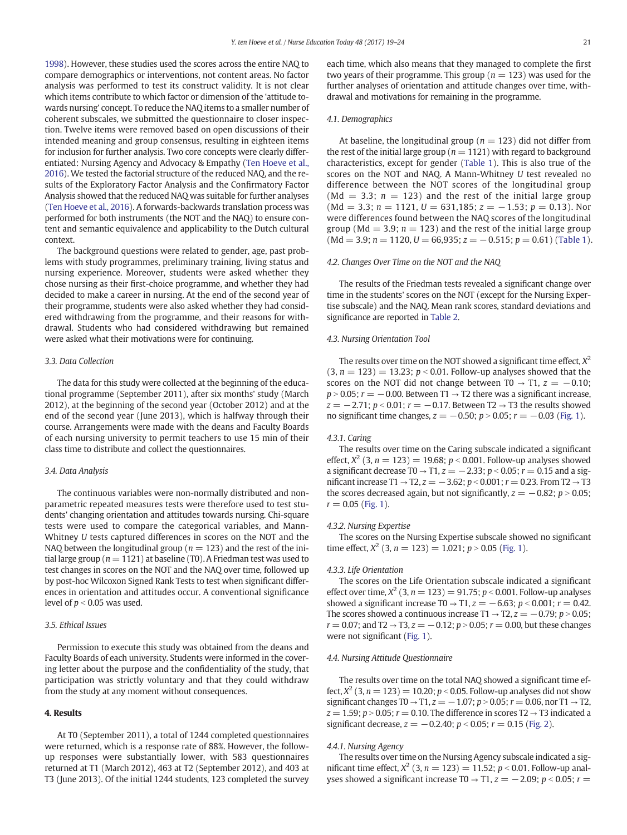[1998](#page-5-0)). However, these studies used the scores across the entire NAQ to compare demographics or interventions, not content areas. No factor analysis was performed to test its construct validity. It is not clear which items contribute to which factor or dimension of the 'attitude towards nursing' concept. To reduce the NAQ items to a smaller number of coherent subscales, we submitted the questionnaire to closer inspection. Twelve items were removed based on open discussions of their intended meaning and group consensus, resulting in eighteen items for inclusion for further analysis. Two core concepts were clearly differentiated: Nursing Agency and Advocacy & Empathy [\(Ten Hoeve et al.,](#page-5-0) [2016](#page-5-0)). We tested the factorial structure of the reduced NAQ, and the results of the Exploratory Factor Analysis and the Confirmatory Factor Analysis showed that the reduced NAQ was suitable for further analyses [\(Ten Hoeve et al., 2016\)](#page-5-0). A forwards-backwards translation process was performed for both instruments (the NOT and the NAQ) to ensure content and semantic equivalence and applicability to the Dutch cultural context.

The background questions were related to gender, age, past problems with study programmes, preliminary training, living status and nursing experience. Moreover, students were asked whether they chose nursing as their first-choice programme, and whether they had decided to make a career in nursing. At the end of the second year of their programme, students were also asked whether they had considered withdrawing from the programme, and their reasons for withdrawal. Students who had considered withdrawing but remained were asked what their motivations were for continuing.

#### 3.3. Data Collection

The data for this study were collected at the beginning of the educational programme (September 2011), after six months' study (March 2012), at the beginning of the second year (October 2012) and at the end of the second year (June 2013), which is halfway through their course. Arrangements were made with the deans and Faculty Boards of each nursing university to permit teachers to use 15 min of their class time to distribute and collect the questionnaires.

#### 3.4. Data Analysis

The continuous variables were non-normally distributed and nonparametric repeated measures tests were therefore used to test students' changing orientation and attitudes towards nursing. Chi-square tests were used to compare the categorical variables, and Mann-Whitney U tests captured differences in scores on the NOT and the NAQ between the longitudinal group ( $n = 123$ ) and the rest of the initial large group ( $n = 1121$ ) at baseline (T0). A Friedman test was used to test changes in scores on the NOT and the NAQ over time, followed up by post-hoc Wilcoxon Signed Rank Tests to test when significant differences in orientation and attitudes occur. A conventional significance level of  $p < 0.05$  was used.

# 3.5. Ethical Issues

Permission to execute this study was obtained from the deans and Faculty Boards of each university. Students were informed in the covering letter about the purpose and the confidentiality of the study, that participation was strictly voluntary and that they could withdraw from the study at any moment without consequences.

#### 4. Results

At T0 (September 2011), a total of 1244 completed questionnaires were returned, which is a response rate of 88%. However, the followup responses were substantially lower, with 583 questionnaires returned at T1 (March 2012), 463 at T2 (September 2012), and 403 at T3 (June 2013). Of the initial 1244 students, 123 completed the survey

each time, which also means that they managed to complete the first two years of their programme. This group ( $n = 123$ ) was used for the further analyses of orientation and attitude changes over time, withdrawal and motivations for remaining in the programme.

### 4.1. Demographics

At baseline, the longitudinal group ( $n = 123$ ) did not differ from the rest of the initial large group ( $n = 1121$ ) with regard to background characteristics, except for gender [\(Table 1\)](#page-3-0). This is also true of the scores on the NOT and NAQ. A Mann-Whitney U test revealed no difference between the NOT scores of the longitudinal group (Md = 3.3;  $n = 123$ ) and the rest of the initial large group  $(Md = 3.3; n = 1121, U = 631,185; z = -1.53; p = 0.13)$ . Nor were differences found between the NAQ scores of the longitudinal group (Md = 3.9;  $n = 123$ ) and the rest of the initial large group  $(Md = 3.9; n = 1120, U = 66,935; z = -0.515; p = 0.61)$  ([Table 1\)](#page-3-0).

#### 4.2. Changes Over Time on the NOT and the NAQ

The results of the Friedman tests revealed a significant change over time in the students' scores on the NOT (except for the Nursing Expertise subscale) and the NAQ. Mean rank scores, standard deviations and significance are reported in [Table 2.](#page-3-0)

# 4.3. Nursing Orientation Tool

The results over time on the NOT showed a significant time effect,  $X^2$  $(3, n = 123) = 13.23$ ;  $p < 0.01$ . Follow-up analyses showed that the scores on the NOT did not change between T0  $\rightarrow$  T1,  $z = -0.10$ ;  $p > 0.05$ ;  $r = -0.00$ . Between T1  $\rightarrow$  T2 there was a significant increase,  $z = -2.71$ ;  $p < 0.01$ ;  $r = -0.17$ . Between T2  $\rightarrow$  T3 the results showed no significant time changes,  $z = -0.50$ ;  $p > 0.05$ ;  $r = -0.03$  [\(Fig. 1\)](#page-3-0).

#### 4.3.1. Caring

The results over time on the Caring subscale indicated a significant effect,  $X^2$  (3,  $n = 123$ ) = 19.68;  $p < 0.001$ . Follow-up analyses showed a significant decrease T0  $\rightarrow$  T1,  $z = -2.33$ ;  $p < 0.05$ ;  $r = 0.15$  and a significant increase T1 → T2,  $z = -3.62$ ;  $p < 0.001$ ;  $r = 0.23$ . From T2 → T3 the scores decreased again, but not significantly,  $z = -0.82$ ;  $p > 0.05$ ;  $r = 0.05$  [\(Fig. 1\)](#page-3-0).

# 4.3.2. Nursing Expertise

The scores on the Nursing Expertise subscale showed no significant time effect,  $X^2$  (3, n = 123) = 1.021; p > 0.05 ([Fig. 1](#page-3-0)).

#### 4.3.3. Life Orientation

The scores on the Life Orientation subscale indicated a significant effect over time,  $X^2$  (3,  $n = 123$ ) = 91.75;  $p < 0.001$ . Follow-up analyses showed a significant increase T0 → T1,  $z = -6.63$ ;  $p < 0.001$ ;  $r = 0.42$ . The scores showed a continuous increase T1  $\rightarrow$  T2,  $z = -0.79$ ; p  $> 0.05$ ;  $r = 0.07$ ; and T2  $\rightarrow$  T3,  $z = -0.12$ ;  $p > 0.05$ ;  $r = 0.00$ , but these changes were not significant ([Fig. 1](#page-3-0)).

#### 4.4. Nursing Attitude Questionnaire

The results over time on the total NAQ showed a significant time effect,  $X^2$  (3,  $n = 123$ ) = 10.20;  $p$  < 0.05. Follow-up analyses did not show significant changes T0  $\rightarrow$  T1,  $z = -1.07$ ;  $p > 0.05$ ;  $r = 0.06$ , nor T1  $\rightarrow$  T2,  $z = 1.59$ ;  $p > 0.05$ ;  $r = 0.10$ . The difference in scores T2  $\rightarrow$  T3 indicated a significant decrease,  $z = -0.2.40$ ;  $p < 0.05$ ;  $r = 0.15$  ([Fig. 2](#page-4-0)).

# 4.4.1. Nursing Agency

The results over time on the Nursing Agency subscale indicated a significant time effect,  $X^2$  (3,  $n = 123$ ) = 11.52;  $p < 0.01$ . Follow-up analyses showed a significant increase T0  $\rightarrow$  T1,  $z = -2.09$ ;  $p < 0.05$ ; r =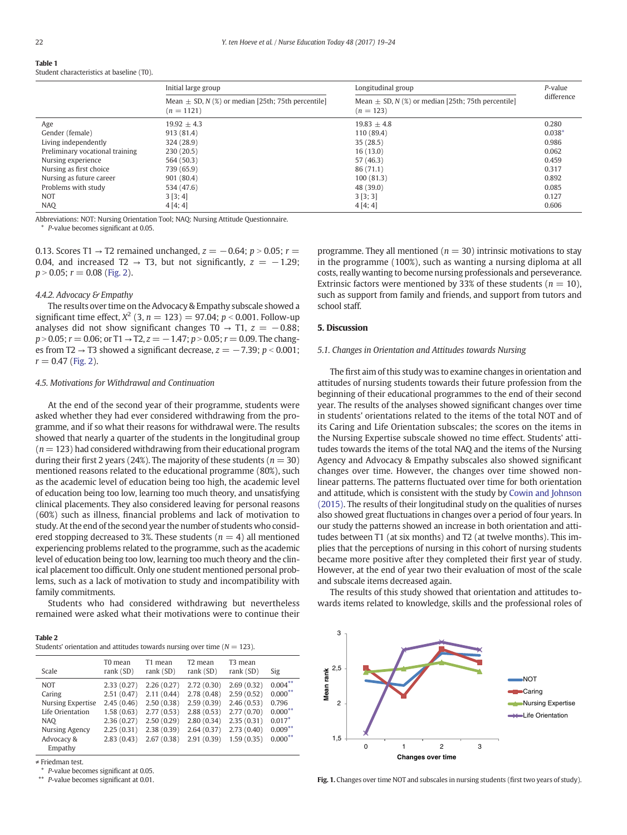<span id="page-3-0"></span>Table 1 Student characteristics at baseline (T0).

|                                 | Initial large group                                                    | Longitudinal group                                                    | $P$ -value<br>difference |  |
|---------------------------------|------------------------------------------------------------------------|-----------------------------------------------------------------------|--------------------------|--|
|                                 | Mean $\pm$ SD, N (%) or median [25th; 75th percentile]<br>$(n = 1121)$ | Mean $\pm$ SD, N (%) or median [25th; 75th percentile]<br>$(n = 123)$ |                          |  |
| Age                             | $19.92 + 4.3$                                                          | $19.83 + 4.8$                                                         | 0.280                    |  |
| Gender (female)                 | 913(81.4)                                                              | 110(89.4)                                                             | $0.038*$                 |  |
| Living independently            | 324 (28.9)                                                             | 35(28.5)                                                              | 0.986                    |  |
| Preliminary vocational training | 230(20.5)                                                              | 16(13.0)                                                              | 0.062                    |  |
| Nursing experience              | 564 (50.3)                                                             | 57 (46.3)                                                             | 0.459                    |  |
| Nursing as first choice         | 739 (65.9)                                                             | 86(71.1)                                                              | 0.317                    |  |
| Nursing as future career        | 901 (80.4)                                                             | 100(81.3)                                                             | 0.892                    |  |
| Problems with study             | 534 (47.6)                                                             | 48 (39.0)                                                             | 0.085                    |  |
| <b>NOT</b>                      | 3[3; 4]                                                                | 3[3;3]                                                                | 0.127                    |  |
| <b>NAQ</b>                      | 4[4; 4]                                                                | 4[4; 4]                                                               | 0.606                    |  |

Abbreviations: NOT: Nursing Orientation Tool; NAQ: Nursing Attitude Questionnaire.

⁎ P-value becomes significant at 0.05.

0.13. Scores T1  $\rightarrow$  T2 remained unchanged,  $z = -0.64$ ;  $p > 0.05$ ;  $r =$ 0.04, and increased T2  $\rightarrow$  T3, but not significantly,  $z = -1.29$ ;  $p > 0.05$ ;  $r = 0.08$  ([Fig. 2](#page-4-0)).

### 4.4.2. Advocacy & Empathy

The results over time on the Advocacy & Empathy subscale showed a significant time effect,  $X^2$  (3,  $n = 123$ ) = 97.04;  $p < 0.001$ . Follow-up analyses did not show significant changes T0  $\rightarrow$  T1,  $z = -0.88$ ;  $p > 0.05$ ;  $r = 0.06$ ; or T1  $\rightarrow$  T2,  $z = -1.47$ ;  $p > 0.05$ ;  $r = 0.09$ . The changes from T2 → T3 showed a significant decrease,  $z = -7.39$ ;  $p < 0.001$ ;  $r = 0.47$  ([Fig. 2](#page-4-0)).

### 4.5. Motivations for Withdrawal and Continuation

At the end of the second year of their programme, students were asked whether they had ever considered withdrawing from the programme, and if so what their reasons for withdrawal were. The results showed that nearly a quarter of the students in the longitudinal group  $(n = 123)$  had considered withdrawing from their educational program during their first 2 years (24%). The majority of these students ( $n = 30$ ) mentioned reasons related to the educational programme (80%), such as the academic level of education being too high, the academic level of education being too low, learning too much theory, and unsatisfying clinical placements. They also considered leaving for personal reasons (60%) such as illness, financial problems and lack of motivation to study. At the end of the second year the number of students who considered stopping decreased to 3%. These students ( $n = 4$ ) all mentioned experiencing problems related to the programme, such as the academic level of education being too low, learning too much theory and the clinical placement too difficult. Only one student mentioned personal problems, such as a lack of motivation to study and incompatibility with family commitments.

Students who had considered withdrawing but nevertheless remained were asked what their motivations were to continue their

|--|--|

|  | Students' orientation and attitudes towards nursing over time ( $N = 123$ ). |  |  |  |  |  |  |  |  |  |
|--|------------------------------------------------------------------------------|--|--|--|--|--|--|--|--|--|
|--|------------------------------------------------------------------------------|--|--|--|--|--|--|--|--|--|

| Scale                    | T0 mean<br>rank (SD) | T1 mean<br>rank $(SD)$ | T <sub>2</sub> mean<br>rank $(SD)$ | T <sub>3</sub> mean<br>rank (SD) | Sig        |
|--------------------------|----------------------|------------------------|------------------------------------|----------------------------------|------------|
| <b>NOT</b>               | 2.33(0.27)           | 2.26(0.27)             | 2.72(0.30)                         | 2.69(0.32)                       | $0.004***$ |
| Caring                   | 2.51(0.47)           | 2.11(0.44)             | 2.78(0.48)                         | 2.59(0.52)                       | $0.000$ ** |
| <b>Nursing Expertise</b> | 2.45(0.46)           | 2.50(0.38)             | 2.59(0.39)                         | 2.46(0.53)                       | 0.796      |
| Life Orientation         | 1.58(0.63)           | 2.77(0.53)             | 2.88(0.53)                         | 2.77(0.70)                       | $0.000$ ** |
| NAO                      | 2.36(0.27)           | 2.50(0.29)             | 2.80(0.34)                         | 2.35(0.31)                       | $0.017*$   |
| Nursing Agency           | 2.25(0.31)           | 2.38(0.39)             | 2.64(0.37)                         | 2.73(0.40)                       | $0.009***$ |
| Advocacy &               | 2.83(0.43)           | 2.67(0.38)             | 2.91(0.39)                         | 1.59(0.35)                       | $0.000$ ** |
| Empathy                  |                      |                        |                                    |                                  |            |

≠ Friedman test.

⁎ P-value becomes significant at 0.05.

⁎⁎ P-value becomes significant at 0.01.

programme. They all mentioned ( $n = 30$ ) intrinsic motivations to stay in the programme (100%), such as wanting a nursing diploma at all costs, really wanting to become nursing professionals and perseverance. Extrinsic factors were mentioned by 33% of these students ( $n = 10$ ), such as support from family and friends, and support from tutors and school staff.

#### 5. Discussion

### 5.1. Changes in Orientation and Attitudes towards Nursing

The first aim of this study was to examine changes in orientation and attitudes of nursing students towards their future profession from the beginning of their educational programmes to the end of their second year. The results of the analyses showed significant changes over time in students' orientations related to the items of the total NOT and of its Caring and Life Orientation subscales; the scores on the items in the Nursing Expertise subscale showed no time effect. Students' attitudes towards the items of the total NAQ and the items of the Nursing Agency and Advocacy & Empathy subscales also showed significant changes over time. However, the changes over time showed nonlinear patterns. The patterns fluctuated over time for both orientation and attitude, which is consistent with the study by [Cowin and Johnson](#page-5-0) [\(2015\)](#page-5-0). The results of their longitudinal study on the qualities of nurses also showed great fluctuations in changes over a period of four years. In our study the patterns showed an increase in both orientation and attitudes between T1 (at six months) and T2 (at twelve months). This implies that the perceptions of nursing in this cohort of nursing students became more positive after they completed their first year of study. However, at the end of year two their evaluation of most of the scale and subscale items decreased again.

The results of this study showed that orientation and attitudes towards items related to knowledge, skills and the professional roles of



Fig. 1. Changes over time NOT and subscales in nursing students (first two years of study).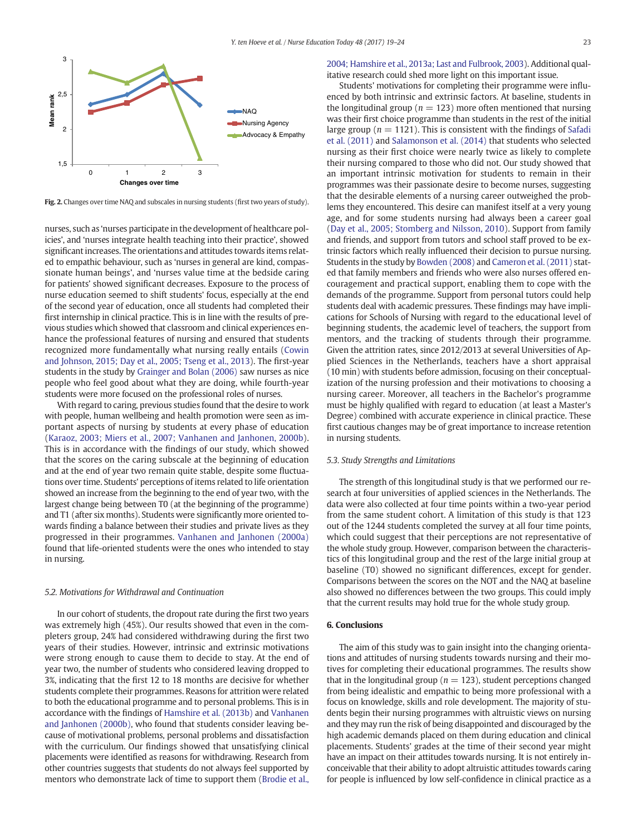<span id="page-4-0"></span>

Fig. 2. Changes over time NAQ and subscales in nursing students (first two years of study).

nurses, such as 'nurses participate in the development of healthcare policies', and 'nurses integrate health teaching into their practice', showed significant increases. The orientations and attitudes towards items related to empathic behaviour, such as 'nurses in general are kind, compassionate human beings', and 'nurses value time at the bedside caring for patients' showed significant decreases. Exposure to the process of nurse education seemed to shift students' focus, especially at the end of the second year of education, once all students had completed their first internship in clinical practice. This is in line with the results of previous studies which showed that classroom and clinical experiences enhance the professional features of nursing and ensured that students recognized more fundamentally what nursing really entails [\(Cowin](#page-5-0) [and Johnson, 2015; Day et al., 2005; Tseng et al., 2013](#page-5-0)). The first-year students in the study by [Grainger and Bolan \(2006\)](#page-5-0) saw nurses as nice people who feel good about what they are doing, while fourth-year students were more focused on the professional roles of nurses.

With regard to caring, previous studies found that the desire to work with people, human wellbeing and health promotion were seen as important aspects of nursing by students at every phase of education [\(Karaoz, 2003; Miers et al., 2007; Vanhanen and Janhonen, 2000b](#page-5-0)). This is in accordance with the findings of our study, which showed that the scores on the caring subscale at the beginning of education and at the end of year two remain quite stable, despite some fluctuations over time. Students' perceptions of items related to life orientation showed an increase from the beginning to the end of year two, with the largest change being between T0 (at the beginning of the programme) and T1 (after six months). Students were significantly more oriented towards finding a balance between their studies and private lives as they progressed in their programmes. [Vanhanen and Janhonen \(2000a\)](#page-5-0) found that life-oriented students were the ones who intended to stay in nursing.

### 5.2. Motivations for Withdrawal and Continuation

In our cohort of students, the dropout rate during the first two years was extremely high (45%). Our results showed that even in the completers group, 24% had considered withdrawing during the first two years of their studies. However, intrinsic and extrinsic motivations were strong enough to cause them to decide to stay. At the end of year two, the number of students who considered leaving dropped to 3%, indicating that the first 12 to 18 months are decisive for whether students complete their programmes. Reasons for attrition were related to both the educational programme and to personal problems. This is in accordance with the findings of [Hamshire et al. \(2013b\)](#page-5-0) and [Vanhanen](#page-5-0) [and Janhonen \(2000b\)](#page-5-0), who found that students consider leaving because of motivational problems, personal problems and dissatisfaction with the curriculum. Our findings showed that unsatisfying clinical placements were identified as reasons for withdrawing. Research from other countries suggests that students do not always feel supported by mentors who demonstrate lack of time to support them [\(Brodie et al.,](#page-5-0)

# [2004; Hamshire et al., 2013a; Last and Fulbrook, 2003\)](#page-5-0). Additional qualitative research could shed more light on this important issue.

Students' motivations for completing their programme were influenced by both intrinsic and extrinsic factors. At baseline, students in the longitudinal group ( $n = 123$ ) more often mentioned that nursing was their first choice programme than students in the rest of the initial large group ( $n = 1121$ ). This is consistent with the findings of [Safadi](#page-5-0) [et al. \(2011\)](#page-5-0) and [Salamonson et al. \(2014\)](#page-5-0) that students who selected nursing as their first choice were nearly twice as likely to complete their nursing compared to those who did not. Our study showed that an important intrinsic motivation for students to remain in their programmes was their passionate desire to become nurses, suggesting that the desirable elements of a nursing career outweighed the problems they encountered. This desire can manifest itself at a very young age, and for some students nursing had always been a career goal [\(Day et al., 2005; Stomberg and Nilsson, 2010](#page-5-0)). Support from family and friends, and support from tutors and school staff proved to be extrinsic factors which really influenced their decision to pursue nursing. Students in the study by [Bowden \(2008\)](#page-5-0) and [Cameron et al. \(2011\)](#page-5-0) stated that family members and friends who were also nurses offered encouragement and practical support, enabling them to cope with the demands of the programme. Support from personal tutors could help students deal with academic pressures. These findings may have implications for Schools of Nursing with regard to the educational level of beginning students, the academic level of teachers, the support from mentors, and the tracking of students through their programme. Given the attrition rates, since 2012/2013 at several Universities of Applied Sciences in the Netherlands, teachers have a short appraisal (10 min) with students before admission, focusing on their conceptualization of the nursing profession and their motivations to choosing a nursing career. Moreover, all teachers in the Bachelor's programme must be highly qualified with regard to education (at least a Master's Degree) combined with accurate experience in clinical practice. These first cautious changes may be of great importance to increase retention in nursing students.

### 5.3. Study Strengths and Limitations

The strength of this longitudinal study is that we performed our research at four universities of applied sciences in the Netherlands. The data were also collected at four time points within a two-year period from the same student cohort. A limitation of this study is that 123 out of the 1244 students completed the survey at all four time points, which could suggest that their perceptions are not representative of the whole study group. However, comparison between the characteristics of this longitudinal group and the rest of the large initial group at baseline (T0) showed no significant differences, except for gender. Comparisons between the scores on the NOT and the NAQ at baseline also showed no differences between the two groups. This could imply that the current results may hold true for the whole study group.

# 6. Conclusions

The aim of this study was to gain insight into the changing orientations and attitudes of nursing students towards nursing and their motives for completing their educational programmes. The results show that in the longitudinal group ( $n = 123$ ), student perceptions changed from being idealistic and empathic to being more professional with a focus on knowledge, skills and role development. The majority of students begin their nursing programmes with altruistic views on nursing and they may run the risk of being disappointed and discouraged by the high academic demands placed on them during education and clinical placements. Students' grades at the time of their second year might have an impact on their attitudes towards nursing. It is not entirely inconceivable that their ability to adopt altruistic attitudes towards caring for people is influenced by low self-confidence in clinical practice as a